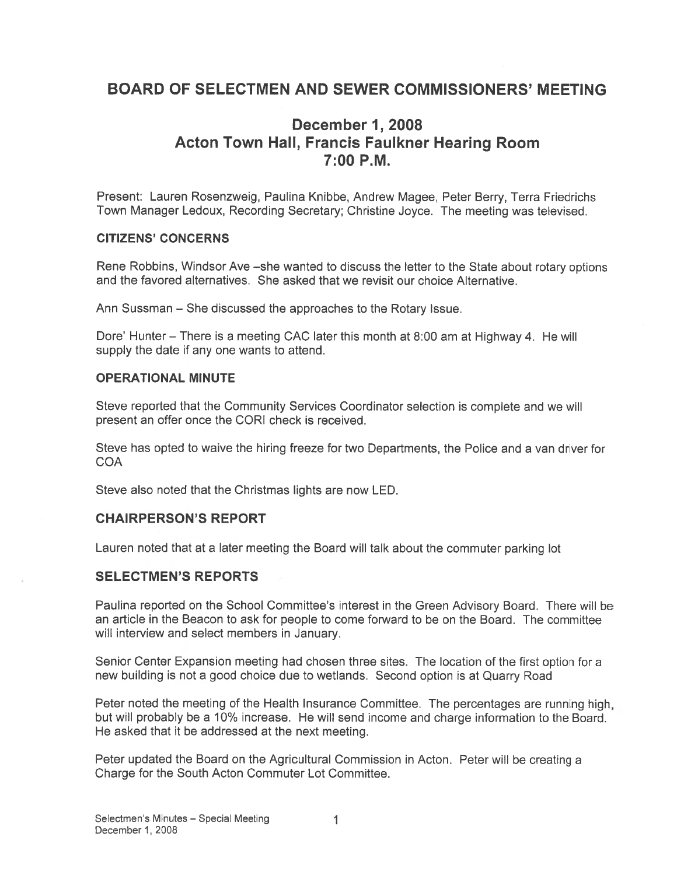## BOARD OF SELECTMEN AND SEWER COMMISSIONERS' MEETING

## December 1, 2008 Acton Town Hall, Francis Faulkner Hearing Room 7:00 PM.

Present: Lauren Rosenzweig, Paulina Knibbe, Andrew Magee, Peter Berry, Terra Friedrichs Town Manager Ledoux, Recording Secretary; Christine Joyce. The meeting was televised.

#### CITIZENS' CONCERNS

Rene Robbins, Windsor Ave —she wanted to discuss the letter to the State about rotary options and the favored alternatives. She asked that we revisit our choice Alternative.

Ann Sussman — She discussed the approaches to the Rotary Issue.

Dore' Hunter — There is <sup>a</sup> meeting CAC later this month at 8:00 am at Highway 4. He will supply the date if any one wants to attend.

#### OPERATIONAL MINUTE

Steve reported that the Community Services Coordinator selection is complete and we will presen<sup>t</sup> an offer once the CORI check is received.

Steve has opted to waive the hiring freeze for two Departments, the Police and <sup>a</sup> van driver for **COA** 

Steve also noted that the Christmas lights are now LED.

#### CHAIRPERSON'S REPORT

Lauren noted that at <sup>a</sup> later meeting the Board will talk about the commuter parking lot

#### SELECTMEN'S REPORTS

Paulina reported on the School Committee's interest in the Green Advisory Board. There will be an article in the Beacon to ask for people to come forward to be on the Board. The committee will interview and select members in January.

Senior Center Expansion meeting had chosen three sites. The location of the first option for <sup>a</sup> new building is not <sup>a</sup> good choice due to wetlands. Second option is at Quarry Road

Peter noted the meeting of the Health Insurance Committee. The percentages are running high, but will probably be <sup>a</sup> 10% increase. He will send income and charge information to the Board. He asked that it be addressed at the next meeting.

Peter updated the Board on the Agricultural Commission in Acton. Peter will be creating <sup>a</sup> Charge for the South Acton Commuter Lot Committee.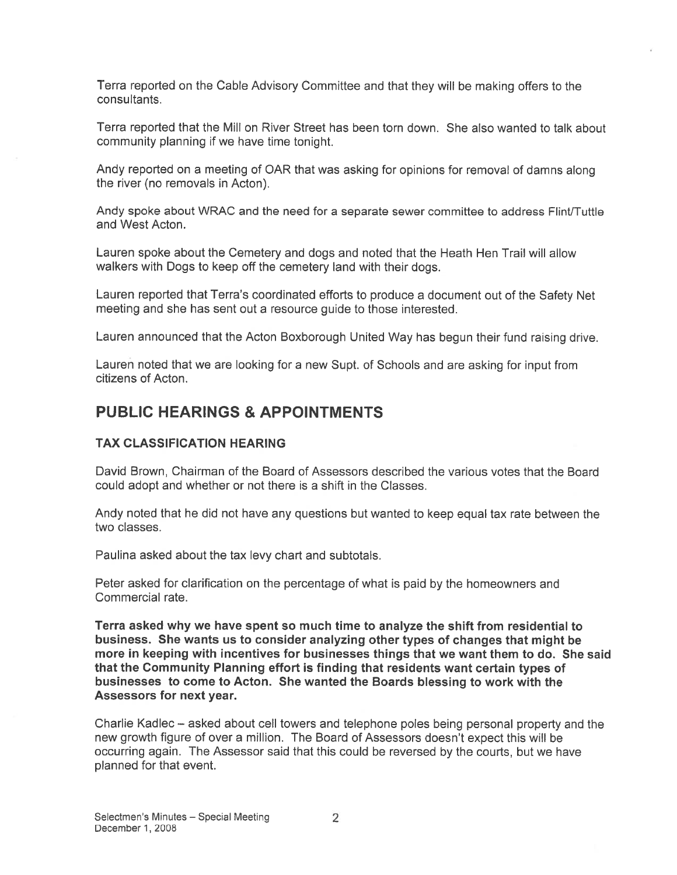Terra reported on the Cable Advisory Committee and that they will be making offers to the consultants.

Terra reported that the Mill on River Street has been torn down. She also wanted to talk about community planning if we have time tonight.

Andy reported on <sup>a</sup> meeting of OAR that was asking for opinions for removal of damns along the rivet (no removals in Acton).

Andy spoke about WRAC and the need for <sup>a</sup> separate sewer committee to address Flint/Tuttle and West Acton.

Lauren spoke about the Cemetery and dogs and noted that the Heath Hen Trail will allow walkers with Dogs to keep off the cemetery land with their dogs.

Lauren reported that Terra's coordinated efforts to produce <sup>a</sup> document out of the Safety Net meeting and she has sent out <sup>a</sup> resource guide to those interested.

Lauren announced that the Acton Boxborough United Way has begun their fund raising drive.

Lauren noted that we are looking for <sup>a</sup> new Supt. of Schools and are asking for input from citizens of Acton.

## PUBLIC HEARINGS & APPOINTMENTS

#### TAX CLASSIFICATION HEARING

David Brown, Chairman of the Board of Assessors described the various votes that the Board could adopt and whether or not there is <sup>a</sup> shift in the Classes.

Andy noted that he did not have any questions but wanted to keep equal tax rate between the two classes.

Paulina asked about the tax levy chart and subtotals.

Peter asked for clarification on the percentage of what is paid by the homeowners and Commercial rate.

Terra asked why we have spen<sup>t</sup> so much time to analyze the shift from residential to business. She wants us to consider analyzing other types of changes that might be more in keeping with incentives for businesses things that we want them to do. She said that the Community Planning effort is finding that residents want certain types of businesses to come to Acton. She wanted the Boards blessing to work with the Assessors for next year.

Charlie Kadlec — asked about cell towers and telephone poles being personal property and the new growth figure of over <sup>a</sup> million. The Board of Assessors doesn't expec<sup>t</sup> this will be occurring again. The Assessor said that this could be reversed by the courts, but we have planned for that event.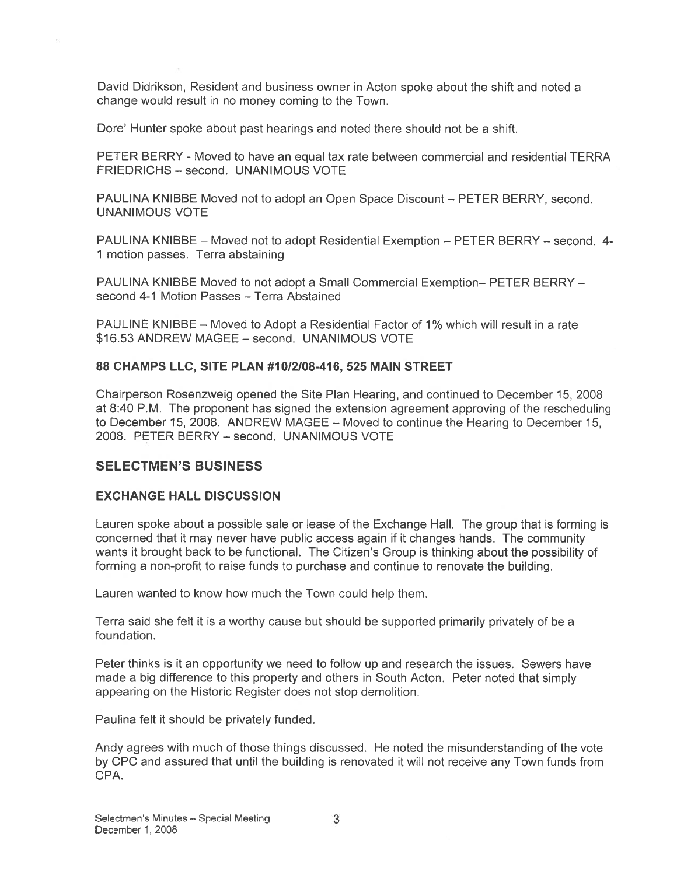David Didrikson, Resident and business owner in Acton spoke about the shift and noted <sup>a</sup> change would result in no money coming to the Town.

Dore' Hunter spoke about pas<sup>t</sup> hearings and noted there should not be <sup>a</sup> shift.

PETER BERRY -Moved to have an equal tax rate between commercial and residential TERRA FRIEDRICHS — second. UNANIMOUS VOTE

PAULINA KNIBBE Moved not to adopt an Open Space Discount — PETER BERRY, second. UNANIMOUS VOTE

PAULINA KNIBBE — Moved not to adopt Residential Exemption — PETER BERRY — second. 4- 1 motion passes. Terra abstaining

PAULINA KNIBBE Moved to not adopt <sup>a</sup> Small Commercial Exemption— PETER BERRY second 4-1 Motion Passes — Terra Abstained

PAULINE KNIBBE — Moved to Adopt <sup>a</sup> Residential Factor of 1% which will result in <sup>a</sup> rate \$16.53 ANDREW MAGEE — second. UNANIMOUS VOTE

### 88 CHAMPS LLC, SITE PLAN #1012108-416, 525 MAIN STREET

Chairperson Rosenzweig opened the Site Plan Hearing, and continued to December 15, 2008 at 8:40 P.M. The proponen<sup>t</sup> has signed the extension agreemen<sup>t</sup> approving of the rescheduling to December 15, 2008. ANDREW MAGEE — Moved to continue the Heating to December 15, 2008. PETER BERRY — second, UNANIMOUS VOTE

## SELECTMEN'S BUSINESS

### EXCHANGE HALL DISCUSSION

Lauren spoke about <sup>a</sup> possible sale or lease of the Exchange Hall. The group that is forming is concerned that it may never have public access again if it changes hands. The community wants it brought back to be functional. The Citizen's Group is thinking about the possibility of forming <sup>a</sup> non-profit to raise funds to purchase and continue to renovate the building.

Lauren wanted to know how much the Town could help them.

Terra said she felt it is <sup>a</sup> worthy cause but should be supported primarily privately of be <sup>a</sup> foundation.

Peter thinks is it an opportunity we need to follow up and research the issues. Sewers have made <sup>a</sup> big difference to this property and others in South Acton. Peter noted that simply appearing on the Historic Register does not stop demolition.

Paulina felt it should be privately funded.

Andy agrees with much of those things discussed. He noted the misunderstanding of the vote by CPC and assured that until the building is renovated it will not receive any Town funds from CPA.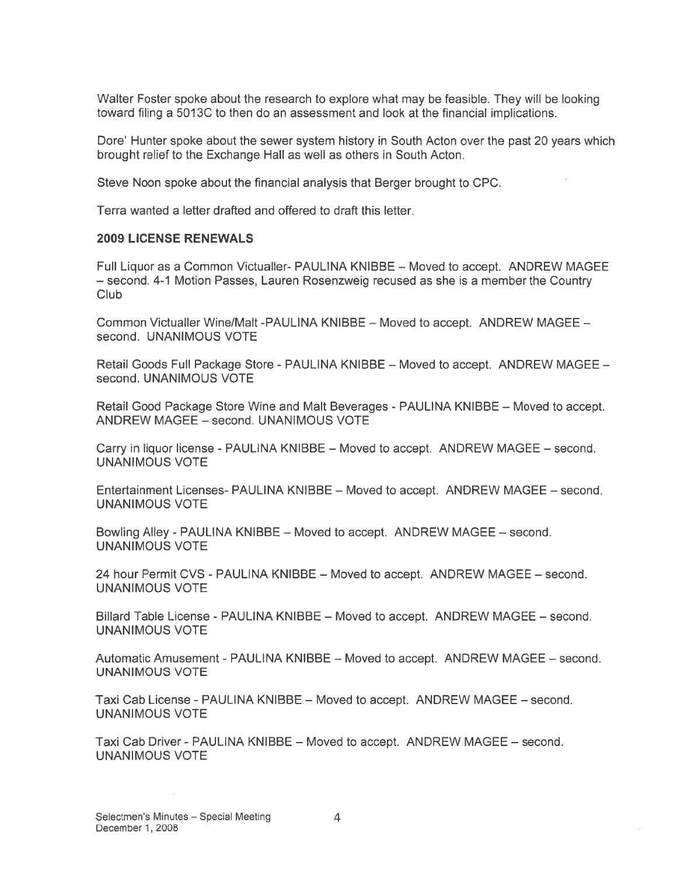Walter Foster spoke about the research to explore what may be feasible. They will be looking toward filing a 5013C to then do an assessment and look at the financial implications.

Dore' Hunter spoke about the sewer system history in South Acton over the past 20 years which brought relief to the Exchange Hall as well as others in South Acton.

Steve Noon spoke about the financial analysis that Berger brought to CPC.

Terra wanted <sup>a</sup> letter drafted and offered to draft this letter.

#### 2009 LICENSE RENEWALS

Full Liquor as <sup>a</sup> Common Victualler- PAULINA KNIBBE — Moved to accept. ANDREW MAGEE — second. 4-1 Motion Passes, Lauren Rosenzweig recused as she is <sup>a</sup> member the Country Club

Common Victualler Wine/Malt -PAULINA KNIBBE — Moved to accept. ANDREW MAGEE second. UNANIMOUS VOTE

Retail Goods Full Package Store - PAULINA KNIBBE — Moved to accept. ANDREW MAGEE second. UNANIMOUS VOTE

Retail Good Package Store Wine and Malt Beverages - PAULINA KNIBBE — Moved to accept. ANDREW MAGEE — second. UNANIMOUS VOTE

Carry in liquor license - PAULINA KNIBBE – Moved to accept. ANDREW MAGEE – second. UNANIMOUS VOTE

Entertainment Licenses- PAULINA KNIBBE — Moved to accept. ANDREW MAGEE — second. UNANIMOUS VOTE

Bowling Alley - PAULINA KNIBBE — Moved to accept. ANDREW MAGEE — second. UNANIMOUS VOTE

24 hour Permit CVS - PAULINA KNIBBE — Moved to accept. ANDREW MAGEE — second. UNANIMOUS VOTE

Billard Table License - PAULINA KNIBBE — Moved to accept. ANDREW MAGEE — second. UNANIMOUS VOTE

Automatic Amusement - PAULINA KNIBBE — Moved to accept. ANDREW MAGEE — second. UNANIMOUS VOTE

Taxi Cab License - PAULINA KNIBBE — Moved to accept. ANDREW MAGEE — second. UNANIMOUS VOTE

Taxi Cab Driver - PAULINA KNIBBE — Moved to accept. ANDREW MAGEE — second. UNANIMOUS VOTE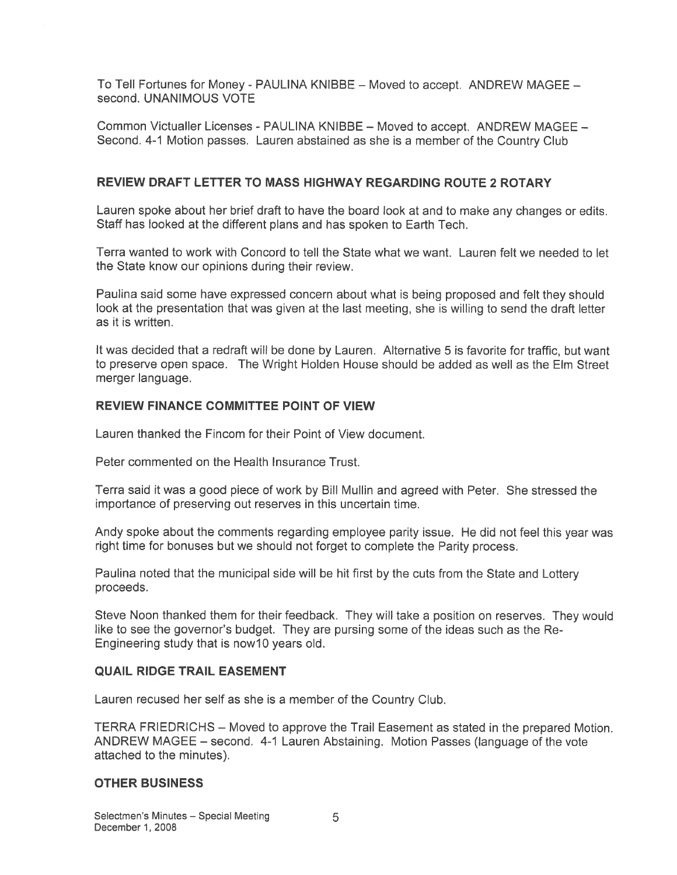To Tell Fortunes for Money - PAULINA KNIBBE — Moved to accept. ANDREW MAGEE second. UNANIMOUS VOTE

Common Victualler Licenses - PAULINA KNIBBE — Moved to accept. ANDREW MAGEE — Second. 4-1 Motion passes. Lauren abstained as she is <sup>a</sup> member of the Country Club

### REVIEW DRAFT LETTER TO MASS HIGHWAY REGARDING ROUTE 2 ROTARY

Lauren spoke about her brief draft to have the board look at and to make any changes or edits. Staff has looked at the different plans and has spoken to Earth Tech.

Terra wanted to work with Concord to tell the State what we want. Lauren felt we needed to let the State know our opinions during their review.

Paulina said some have expressed concern about what is being proposed and felt they should look at the presentation that was given at the last meeting, she is willing to send the draft letter as it is written.

It was decided that <sup>a</sup> redraft will be done by Lauren. Alternative 5 is favorite for traffic, but want to preserve open space. The Wright Holden House should be added as well as the Elm Street merger language.

### REVIEW FINANCE COMMITTEE POINT OF VIEW

Lauren thanked the Fincom for their Point of View document.

Peter commented on the Health Insurance Trust.

Terra said it was <sup>a</sup> good piece of work by Bill Mullin and agreed with Peter. She stressed the importance of preserving out reserves in this uncertain time.

Andy spoke about the comments regarding employee parity issue. He did not feel this year was right time for bonuses but we should not forget to complete the Parity process.

Paulina noted that the municipal side will be hit first by the cuts from the State and Lottery proceeds.

Steve Noon thanked them for their feedback. They will take <sup>a</sup> position on reserves. They would like to see the governor's budget. They are pursing some of the ideas such as the Re-Engineering study that is now 10 years old.

### QUAIL RIDGE TRAIL EASEMENT

Lauren recused her self as she is <sup>a</sup> member of the Country Club.

TERRA FRIEDRICHS — Moved to approve the Trail Easement as stated in the prepared Motion. ANDREW MAGEE — second. 4-1 Lauren Abstaining. Motion Passes (language of the vote attached to the minutes).

#### OTHER BUSINESS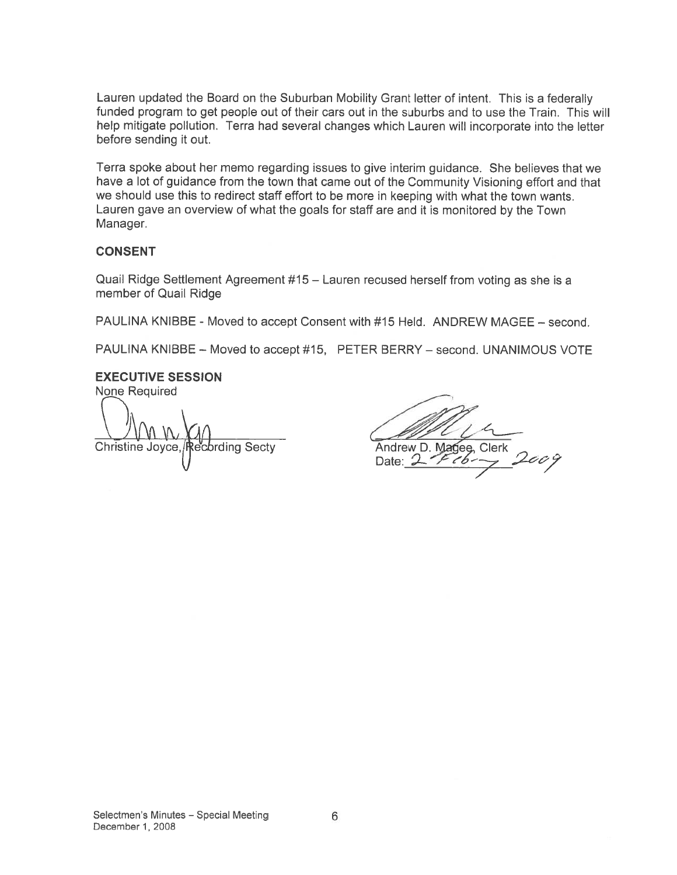Lauren updated the Board on the Suburban Mobility Grant letter of intent. This is <sup>a</sup> federally funded program to ge<sup>t</sup> people out of their cars out in the suburbs and to use the Train. This will help mitigate pollution. Terra had several changes which Lauren will incorporate into the letter before sending it out.

Terra spoke about her memo regarding issues to give interim guidance. She believes that we have <sup>a</sup> lot of guidance from the town that came out of the Community Visioning effort and that we should use this to redirect staff effort to be more in keeping with what the town wants. Lauren gave an overview of what the goals for staff are and it is monitored by the Town Manager.

### **CONSENT**

Quail Ridge Settlement Agreement #15 — Lauren recused herself from voting as she is <sup>a</sup> member of Quail Ridge

PAULINA KNIBBE - Moved to accep<sup>t</sup> Consent with #15 Held. ANDREW MAGEE — second.

PAULINA KNIBBE — Moved to accep<sup>t</sup> #15, PETER BERRY — second. UNANIMOUS VOTE

EXECUTIVE SESSION None Required

Christine Joyce, Recording Secty Andrew D. Magee, Clerk Christine Joyce,  $\bigcap_{n=1}^{\infty}$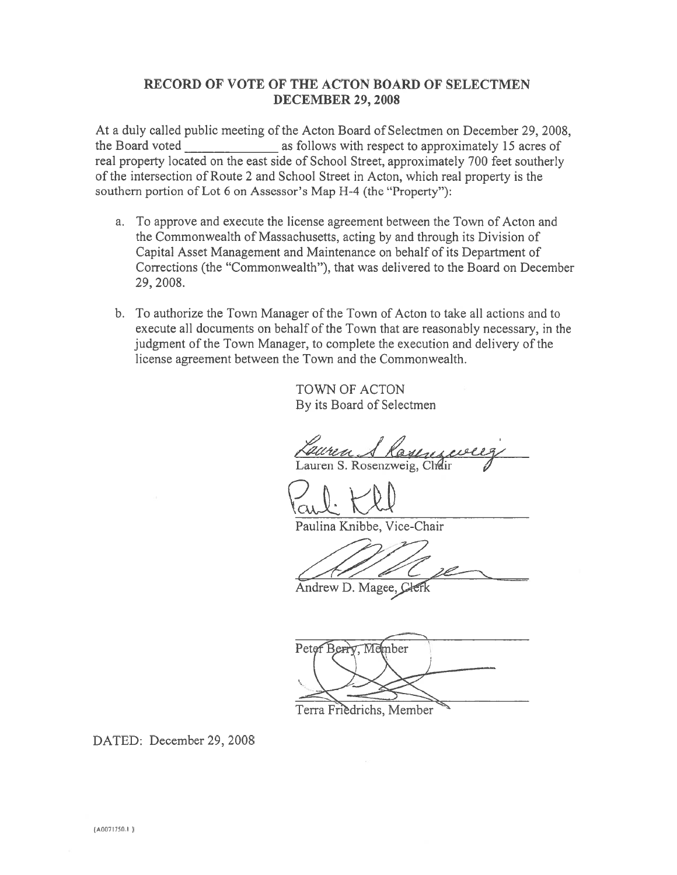### RECORD OF VOTE OF THE ACTON BOARD OF SELECTMEN DECEMBER 29, 2008

At <sup>a</sup> duly called public meeting of the Acton Board of Selectmen on December 29, 2008, the Board voted \_\_\_\_\_\_\_\_\_\_\_\_\_\_\_ as follows with respec<sup>t</sup> to approximately <sup>15</sup> acres of real property located on the east side of School Street, approximately 700 feet southerly of the intersection of Route 2 and School Street in Acton. which real property is the southern portion of Lot 6 on Assessor's Map H-4 (the "Property"):

- a. To approve and execute the license agreemen<sup>t</sup> between the Town of Acton and the Commonwealth of Massachusetts, acting by and through its Division of Capital Asset Management and Maintenance on behalf of its Department of Corrections (the "Commonwealth"), that was delivered to the Board on December 29, 2008.
- b. To authorize the Town Manager of the Town of Acton to take all actions and to execute all documents on behalf of the Town that are reasonably necessary, in the judgment of the Town Manager, to complete the execution and delivery of the license agreemen<sup>t</sup> between the Town and the Commonwealth.

TOWN OF ACTON By its Board of Selectmen

Kayen Lauren S. Rosenzweig, Chéir

Kaul: Kl

Paulina Knibbe, Vice-Chair

 $\sqrt{2}$ 

Andrew D. Magee, Clerk

Peter Berry, Member

Terra Friedrichs, Member

DATED: December 29, 2008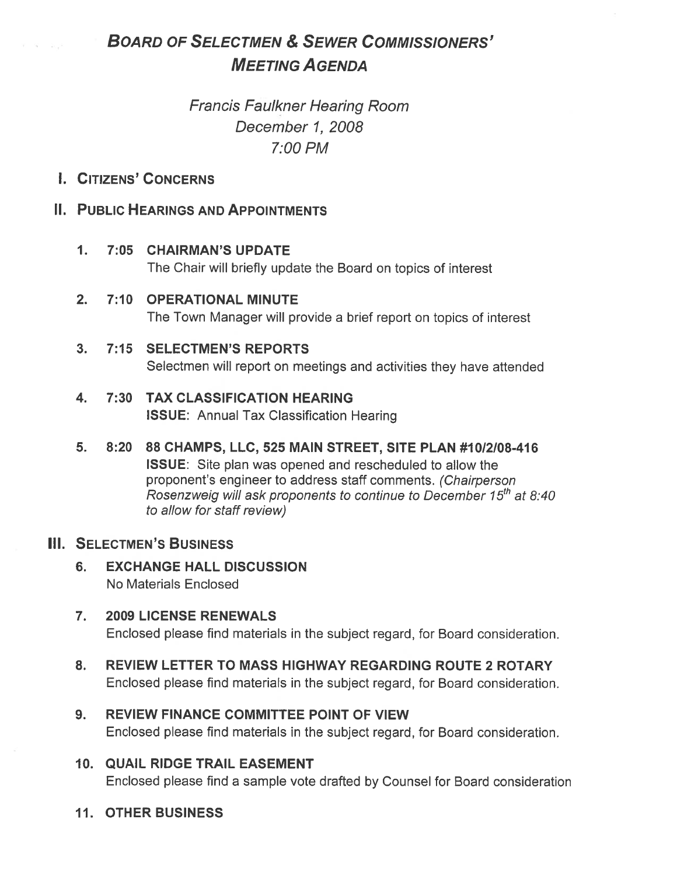# BOARD OF SELECTMEN & SEWER COMMISSIONERS' **MEETING AGENDA**

# Francis Faulkner Hearing Room December 1, 2008 7:00 PM

## I. CITIZENS' CONCERNS

 $\bar{w} = \bar{w} = -\bar{w}$ 

## II. PUBLIC HEARINGS AND APPOINTMENTS

## 1. 7:05 CHAIRMAN'S UPDATE

The Chair will briefly update the Board on topics of interest

## 2. 7:10 OPERATIONAL MINUTE The Town Manager will provide <sup>a</sup> brief repor<sup>t</sup> on topics of interest

## 3. 7:15 SELECTMEN'S REPORTS

Selectmen will repor<sup>t</sup> on meetings and activities they have attended

## 4. 7:30 TAX CLASSIFICATION HEARING ISSUE: Annual Tax Classification Hearing

5. 8:20 88 CHAMPS, LLC, 525 MAIN STREET, SITE PLAN #1012108-416 ISSUE: Site plan was opened and rescheduled to allow the proponent's engineer to address staff comments. (Chairperson Rosenzweig will ask proponents to continue to December  $15<sup>th</sup>$  at 8:40 to allow for staff review)

## III. SELECTMEN'S BUSINESS

- 6. EXCHANGE HALL DISCUSSION No Materials Enclosed
- 7. 2009 LICENSE RENEWALS Enclosed please find materials in the subject regard, for Board consideration.
- 8. REVIEW LETTER TO MASS HIGHWAY REGARDING ROUTE 2 ROTARY Enclosed please find materials in the subject regard, for Board consideration.
- 9. REVIEW FINANCE COMMITTEE POINT OF VIEW Enclosed please find materials in the subject regard, for Board consideration.

## 10. QUAIL RIDGE TRAIL EASEMENT Enclosed please find <sup>a</sup> sample vote drafted by Counsel for Board consideration

## 11. OTHER BUSINESS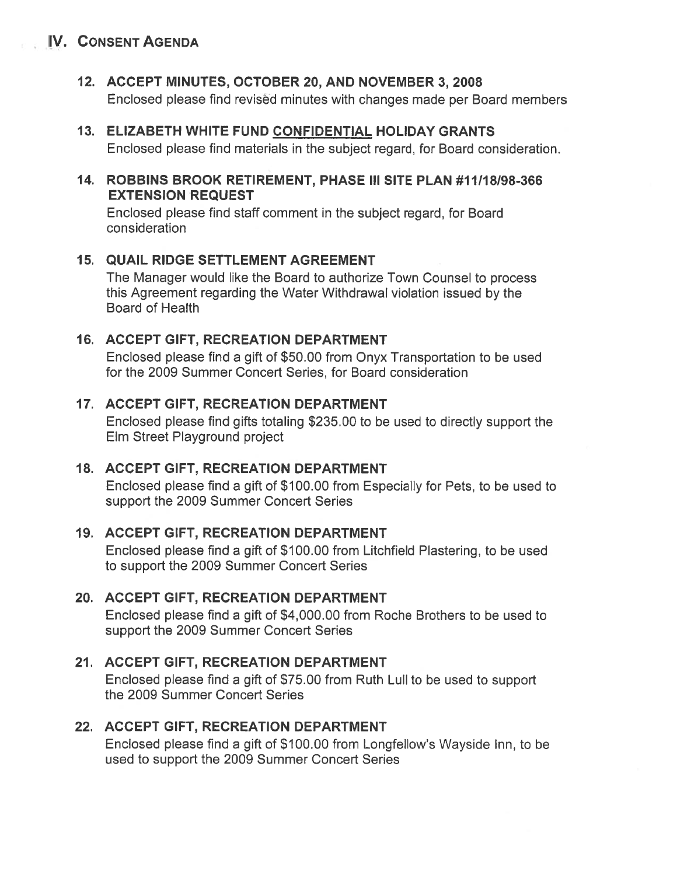## IV. CONSENT AGENDA

## 12. ACCEPT MINUTES, OCTOBER 20, AND NOVEMBER 3, 2008

Enclosed please find revised minutes with changes made per Board members

### 13. ELIZABETH WHITE FUND CONFIDENTIAL HOLIDAY GRANTS Enclosed please find materials in the subject regard, for Board consideration.

## 14. ROBBINS BROOK RETIREMENT, PHASE III SITE PLAN #11/18198-366 EXTENSION REQUEST

Enclosed please find staff comment in the subject regard, for Board consideration

## 15. QUAIL RIDGE SETTLEMENT AGREEMENT

The Manager would like the Board to authorize Town Counsel to process this Agreement regarding the Water Withdrawal violation issued by the Board of Health

## 16. ACCEPT GIFT, RECREATION DEPARTMENT

Enclosed please find <sup>a</sup> gift of \$50.00 from Onyx Transportation to be used for the 2009 Summer Concert Series, for Board consideration

## 17. ACCEPT GIFT, RECREATION DEPARTMENT

Enclosed please find gifts totaling \$235.00 to be used to directly suppor<sup>t</sup> the Elm Street Playground project

## 18. ACCEPT GIFT, RECREATION DEPARTMENT

Enclosed please find <sup>a</sup> gift of \$100.00 from Especially for Pets, to be used to suppor<sup>t</sup> the 2009 Summer Concert Series

## 19. ACCEPT GIFT, RECREATION DEPARTMENT

Enclosed please find <sup>a</sup> gift of \$100.00 from Litchfield Plastering, to be used to suppor<sup>t</sup> the 2009 Summer Concert Series

## 20. ACCEPT GIFT, RECREATION DEPARTMENT

Enclosed please find <sup>a</sup> gift of \$4,000.00 from Roche Brothers to be used to suppor<sup>t</sup> the 2009 Summer Concert Series

## 21. ACCEPT GIFT, RECREATION DEPARTMENT

Enclosed please find <sup>a</sup> gift of \$75.00 from Ruth Lull to be used to suppor<sup>t</sup> the 2009 Summer Concert Series

## 22. ACCEPT GIFT, RECREATION DEPARTMENT

Enclosed please find <sup>a</sup> gift of \$100.00 from Longfellow's Wayside Inn, to be used to suppor<sup>t</sup> the 2009 Summer Concert Series